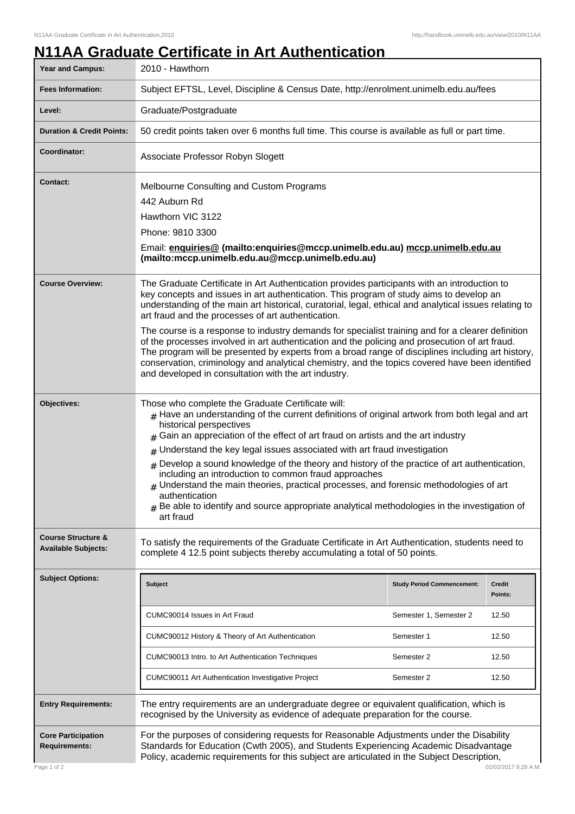## **N11AA Graduate Certificate in Art Authentication**

| Year and Campus:                                            | 2010 - Hawthorn                                                                                                                                                                                                                                                                                                                                                                                                                                                                                                                                                                                                                                                                                                                                                                                                                |                                   |                          |
|-------------------------------------------------------------|--------------------------------------------------------------------------------------------------------------------------------------------------------------------------------------------------------------------------------------------------------------------------------------------------------------------------------------------------------------------------------------------------------------------------------------------------------------------------------------------------------------------------------------------------------------------------------------------------------------------------------------------------------------------------------------------------------------------------------------------------------------------------------------------------------------------------------|-----------------------------------|--------------------------|
| <b>Fees Information:</b>                                    | Subject EFTSL, Level, Discipline & Census Date, http://enrolment.unimelb.edu.au/fees                                                                                                                                                                                                                                                                                                                                                                                                                                                                                                                                                                                                                                                                                                                                           |                                   |                          |
| Level:                                                      | Graduate/Postgraduate                                                                                                                                                                                                                                                                                                                                                                                                                                                                                                                                                                                                                                                                                                                                                                                                          |                                   |                          |
| <b>Duration &amp; Credit Points:</b>                        | 50 credit points taken over 6 months full time. This course is available as full or part time.                                                                                                                                                                                                                                                                                                                                                                                                                                                                                                                                                                                                                                                                                                                                 |                                   |                          |
| Coordinator:                                                | Associate Professor Robyn Slogett                                                                                                                                                                                                                                                                                                                                                                                                                                                                                                                                                                                                                                                                                                                                                                                              |                                   |                          |
| <b>Contact:</b>                                             | Melbourne Consulting and Custom Programs<br>442 Auburn Rd<br>Hawthorn VIC 3122<br>Phone: 9810 3300<br>Email: enquiries@ (mailto:enquiries@mccp.unimelb.edu.au) mccp.unimelb.edu.au<br>(mailto:mccp.unimelb.edu.au@mccp.unimelb.edu.au)                                                                                                                                                                                                                                                                                                                                                                                                                                                                                                                                                                                         |                                   |                          |
| <b>Course Overview:</b>                                     | The Graduate Certificate in Art Authentication provides participants with an introduction to<br>key concepts and issues in art authentication. This program of study aims to develop an<br>understanding of the main art historical, curatorial, legal, ethical and analytical issues relating to<br>art fraud and the processes of art authentication.<br>The course is a response to industry demands for specialist training and for a clearer definition<br>of the processes involved in art authentication and the policing and prosecution of art fraud.<br>The program will be presented by experts from a broad range of disciplines including art history,<br>conservation, criminology and analytical chemistry, and the topics covered have been identified<br>and developed in consultation with the art industry. |                                   |                          |
| Objectives:                                                 | Those who complete the Graduate Certificate will:<br>$#$ Have an understanding of the current definitions of original artwork from both legal and art<br>historical perspectives<br>Gain an appreciation of the effect of art fraud on artists and the art industry<br>$#$ Understand the key legal issues associated with art fraud investigation<br>$#$ Develop a sound knowledge of the theory and history of the practice of art authentication,<br>including an introduction to common fraud approaches<br>$#$ Understand the main theories, practical processes, and forensic methodologies of art<br>authentication<br>$#$ Be able to identify and source appropriate analytical methodologies in the investigation of<br>art fraud                                                                                     |                                   |                          |
| <b>Course Structure &amp;</b><br><b>Available Subjects:</b> | To satisfy the requirements of the Graduate Certificate in Art Authentication, students need to<br>complete 4 12.5 point subjects thereby accumulating a total of 50 points.                                                                                                                                                                                                                                                                                                                                                                                                                                                                                                                                                                                                                                                   |                                   |                          |
| <b>Subject Options:</b>                                     | Subject                                                                                                                                                                                                                                                                                                                                                                                                                                                                                                                                                                                                                                                                                                                                                                                                                        | <b>Study Period Commencement:</b> | <b>Credit</b><br>Points: |
|                                                             | CUMC90014 Issues in Art Fraud                                                                                                                                                                                                                                                                                                                                                                                                                                                                                                                                                                                                                                                                                                                                                                                                  | Semester 1, Semester 2            | 12.50                    |
|                                                             | CUMC90012 History & Theory of Art Authentication                                                                                                                                                                                                                                                                                                                                                                                                                                                                                                                                                                                                                                                                                                                                                                               | Semester 1                        | 12.50                    |
|                                                             | CUMC90013 Intro. to Art Authentication Techniques                                                                                                                                                                                                                                                                                                                                                                                                                                                                                                                                                                                                                                                                                                                                                                              | Semester 2                        | 12.50                    |
|                                                             | CUMC90011 Art Authentication Investigative Project                                                                                                                                                                                                                                                                                                                                                                                                                                                                                                                                                                                                                                                                                                                                                                             | Semester 2                        | 12.50                    |
| <b>Entry Requirements:</b>                                  | The entry requirements are an undergraduate degree or equivalent qualification, which is<br>recognised by the University as evidence of adequate preparation for the course.                                                                                                                                                                                                                                                                                                                                                                                                                                                                                                                                                                                                                                                   |                                   |                          |
| <b>Core Participation</b><br><b>Requirements:</b>           | For the purposes of considering requests for Reasonable Adjustments under the Disability<br>Standards for Education (Cwth 2005), and Students Experiencing Academic Disadvantage<br>Policy, academic requirements for this subject are articulated in the Subject Description,                                                                                                                                                                                                                                                                                                                                                                                                                                                                                                                                                 |                                   |                          |